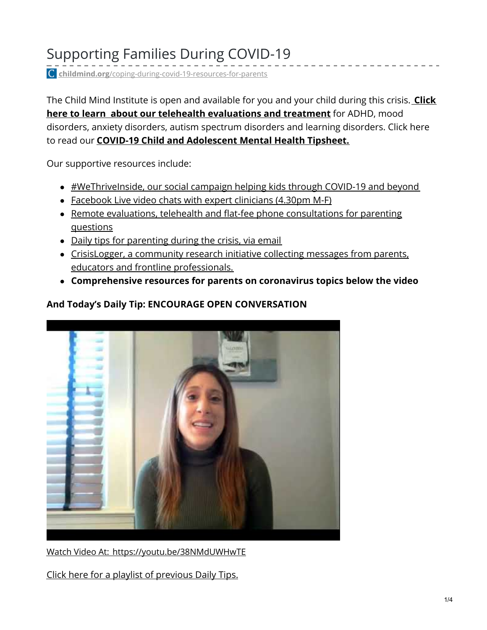# Supporting Families During COVID-19

**childmind.org**[/coping-during-covid-19-resources-for-parents](https://childmind.org/coping-during-covid-19-resources-for-parents/)

The Child Mind Institute is open and available for you and your child during this crisis. **Click here to learn about our telehealth [evaluations](https://childmind.org/our-care/telehealth/) and treatment** for ADHD, mood disorders, anxiety disorders, autism spectrum disorders and learning disorders. Click here to read our **COVID-19 Child and [Adolescent](https://27c2s3mdcxk2qzutg1z8oa91-wpengine.netdna-ssl.com/wp-content/uploads/WTI-tipsheet.pdf) Mental Health Tipsheet.**

Our supportive resources include:

- [#WeThriveInside,](https://childmind.org/wethriveinside/) our social campaign helping kids through COVID-19 and beyond
- [Facebook](https://www.facebook.com/ChildMindInstitute/live/) Live video chats with expert clinicians (4.30pm M-F)
- Remote evaluations, telehealth and flat-fee phone [consultations](https://childmind.org/our-care/telehealth) for parenting questions
- Daily tips for [parenting](https://signup.e2ma.net/signup/1917784/1800565/) during the crisis, via email
- CrisisLogger, a community research initiative collecting messages from parents, educators and frontline [professionals.](https://crisislogger.org/)
- **Comprehensive resources for parents on coronavirus topics below the video**

## **And Today's Daily Tip: ENCOURAGE OPEN CONVERSATION**



Watch Video At: <https://youtu.be/38NMdUWHwTE>

Click here for a playlist of [previous](https://www.youtube.com/watch?v=RzbWO72piLg&list=PLnEQkAsadC1GC2LMkpn-ApSPrDosgPawU) Daily Tips.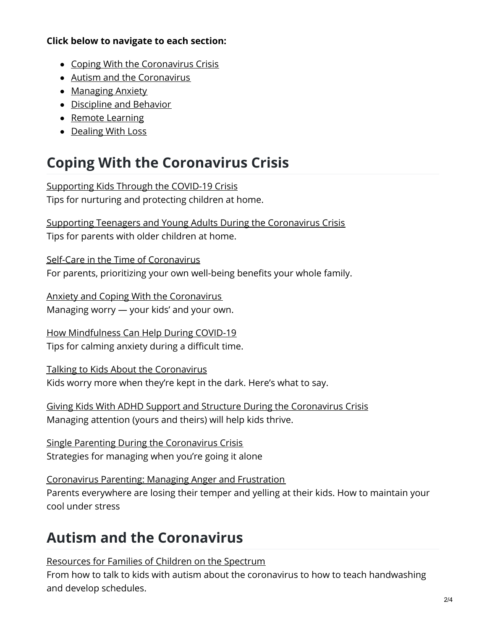### **Click below to navigate to each section:**

- Coping With the [Coronavirus](#page-1-0) Crisis
- Autism and the [Coronavirus](#page-1-1)
- [Managing](#page-2-0) Anxiety
- [Discipline](#page-2-1) and Behavior
- Remote [Learning](#page-2-2)
- [Dealing](#page-3-0) With Loss

# <span id="page-1-0"></span>**Coping With the Coronavirus Crisis**

[Supporting](https://childmind.org/article/supporting-kids-during-the-covid-19-crisis/) Kids Through the COVID-19 Crisis Tips for nurturing and protecting children at home.

Supporting Teenagers and Young Adults During the [Coronavirus](https://childmind.org/article/supporting-teenagers-and-young-adults-during-the-coronavirus-crisis/) Crisis Tips for parents with older children at home.

Self-Care in the Time of [Coronavirus](https://childmind.org/article/self-care-in-the-time-of-coronavirus/) For parents, prioritizing your own well-being benefits your whole family.

Anxiety and Coping With the [Coronavirus](https://childmind.org/article/anxiety-and-coping-with-coronavirus/) Managing worry — your kids' and your own.

How [Mindfulness](https://childmind.org/article/how-mindfulness-can-help-during-covid-19/) Can Help During COVID-19 Tips for calming anxiety during a difficult time.

Talking to Kids About the [Coronavirus](https://childmind.org/article/talking-to-kids-about-the-coronavirus/) Kids worry more when they're kept in the dark. Here's what to say.

Giving Kids With ADHD Support and Structure During the [Coronavirus](https://childmind.org/article/giving-kids-with-adhd-support-and-structure-during-the-coronavirus-crisis/) Crisis Managing attention (yours and theirs) will help kids thrive.

Single Parenting During the [Coronavirus](https://childmind.org/article/single-parenting-during-the-coronavirus-crisis/) Crisis Strategies for managing when you're going it alone

[Coronavirus](https://childmind.org/article/coronavirus-parenting-managing-anger-and-frustration/) Parenting: Managing Anger and Frustration Parents everywhere are losing their temper and yelling at their kids. How to maintain your cool under stress

# <span id="page-1-1"></span>**Autism and the Coronavirus**

[Resources](https://childmind.org/autism-coronavirus-resources-for-parents/) for Families of Children on the Spectrum

From how to talk to kids with autism about the coronavirus to how to teach handwashing and develop schedules.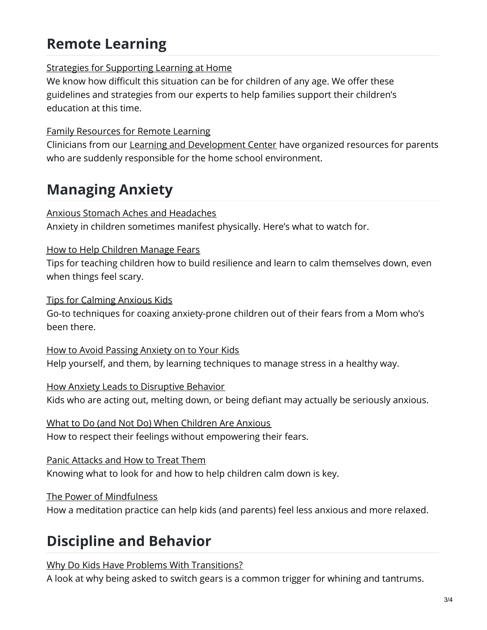# <span id="page-2-2"></span>**Remote Learning**

## Strategies for [Supporting](https://childmind.org/remote-learning-resources-for-families/) Learning at Home

We know how difficult this situation can be for children of any age. We offer these guidelines and strategies from our experts to help families support their children's education at this time.

### Family [Resources](https://childmind.org/guide/family-resources-for-remote-learning/) for Remote Learning

Clinicians from our Learning and [Development](https://childmind.org/center/learning-and-development-center/) Center have organized resources for parents who are suddenly responsible for the home school environment.

## <span id="page-2-0"></span>**Managing Anxiety**

### Anxious Stomach Aches and [Headaches](https://childmind.org/article/anxious-stomach-aches-and-headaches/)

Anxiety in children sometimes manifest physically. Here's what to watch for.

### How to Help [Children](https://childmind.org/article/help-children-manage-fears/) Manage Fears

Tips for teaching children how to build resilience and learn to calm themselves down, even when things feel scary.

Tips for [Calming](https://childmind.org/article/tips-calming-anxious-kids/) Anxious Kids

Go-to techniques for coaxing anxiety-prone children out of their fears from a Mom who's been there.

How to Avoid [Passing](https://childmind.org/article/how-to-avoid-passing-anxiety-on-to-your-kids/) Anxiety on to Your Kids Help yourself, and them, by learning techniques to manage stress in a healthy way.

How Anxiety Leads to [Disruptive](https://childmind.org/article/how-anxiety-leads-to-disruptive-behavior/) Behavior Kids who are acting out, melting down, or being defiant may actually be seriously anxious.

What to Do (and Not Do) When [Children](https://childmind.org/article/what-to-do-and-not-do-when-children-are-anxious/) Are Anxious How to respect their feelings without empowering their fears.

Panic [Attacks](https://childmind.org/article/panic-attacks-best-treatments/) and How to Treat Them Knowing what to look for and how to help children calm down is key.

The Power of [Mindfulness](https://childmind.org/article/the-power-of-mindfulness/)

How a meditation practice can help kids (and parents) feel less anxious and more relaxed.

# <span id="page-2-1"></span>**Discipline and Behavior**

Why Do Kids Have Problems With [Transitions?](https://childmind.org/article/why-do-kids-have-trouble-with-transitions/)

A look at why being asked to switch gears is a common trigger for whining and tantrums.